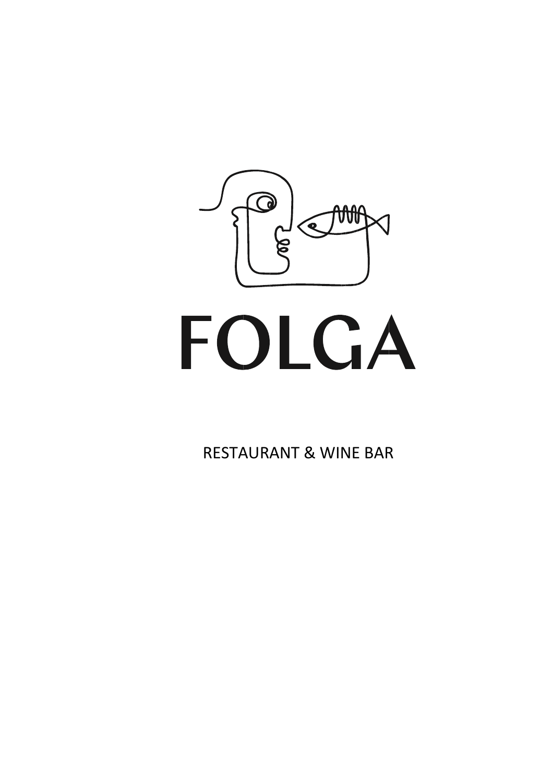

# **FOLGA**

RESTAURANT & WINE BAR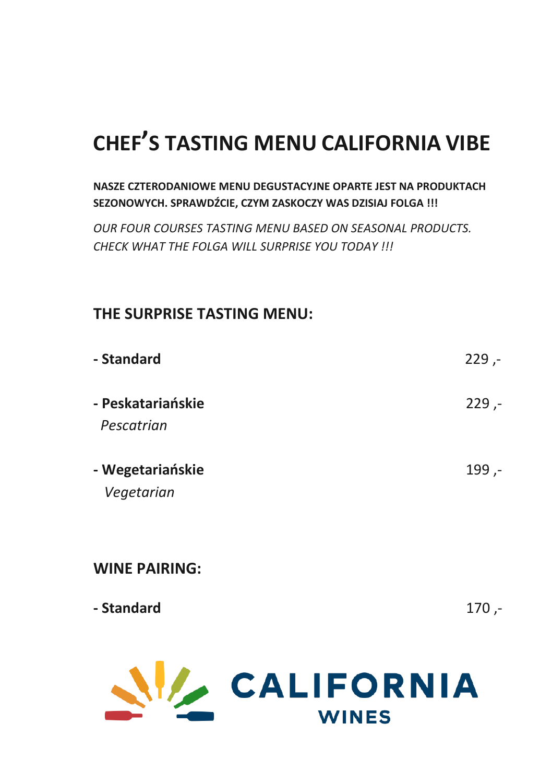### **CHEF'S TASTING MENU CALIFORNIA VIBE**

**NASZE CZTERODANIOWE MENU DEGUSTACYJNE OPARTE JEST NA PRODUKTACH SEZONOWYCH. SPRAWDŹCIE, CZYM ZASKOCZY WAS DZISIAJ FOLGA !!!**

*OUR FOUR COURSES TASTING MENU BASED ON SEASONAL PRODUCTS. CHECK WHAT THE FOLGA WILL SURPRISE YOU TODAY !!!*

#### **THE SURPRISE TASTING MENU:**

| - Standard                      | $229 -$ |
|---------------------------------|---------|
| - Peskatariańskie<br>Pescatrian | $229 -$ |
| - Wegetariańskie<br>Vegetarian  | -, 199  |

**WINE PAIRING:**

**- Standard** 170 ,-

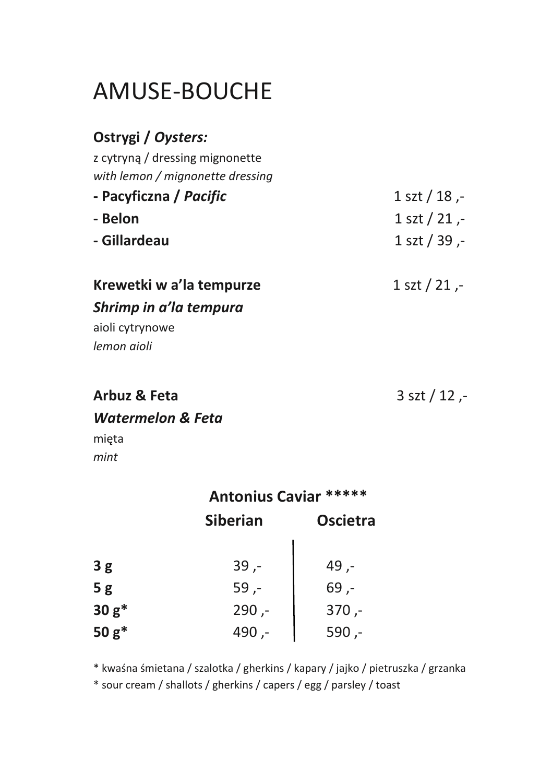### AMUSE-BOUCHE

### **Ostrygi /** *Oysters:*

z cytryną / dressing mignonette *with lemon / mignonette dressing*  **- Pacyficzna /** *Pacific*1 szt / 18 ,-

**- Belon** 1 szt / 21 ,- **- Gillardeau** 1 szt / 39 ,-

### **Krewetki w a'la tempurze** 1 szt / 21 ,-

*Shrimp in a'la tempura* aioli cytrynowe *lemon aioli*

### **Arbuz & Feta** 3 szt / 12 ,-

### *Watermelon & Feta*

mięta *mint*

|          |                 | <b>Antonius Caviar *****</b> |  |  |
|----------|-----------------|------------------------------|--|--|
|          | <b>Siberian</b> | <b>Oscietra</b>              |  |  |
| 3g       | $39 -$          | -, 49                        |  |  |
| 5g       | $59 -$          | $-69, -$                     |  |  |
| $30 g*$  | $290 -$         | $370 -$                      |  |  |
| 50 $g^*$ | -, 490          | $-590 -$                     |  |  |

\* kwaśna śmietana / szalotka / gherkins / kapary / jajko / pietruszka / grzanka

\* sour cream / shallots / gherkins / capers / egg / parsley / toast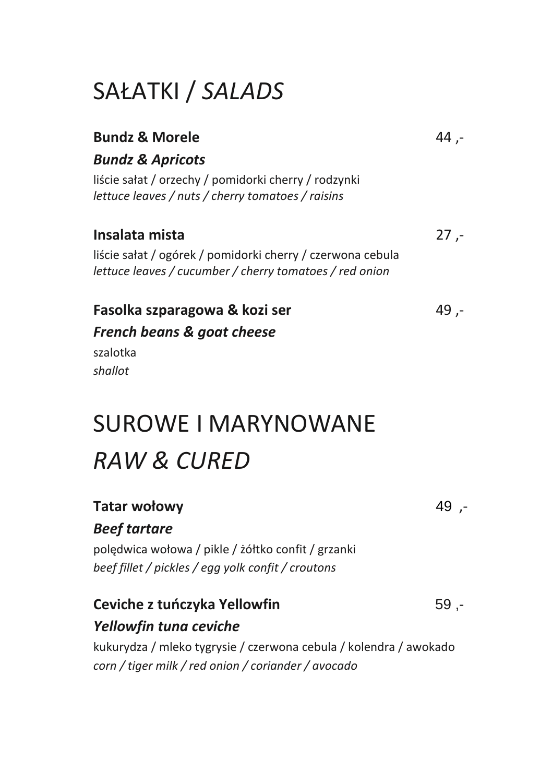### SAŁATKI / *SALADS*

| <b>Bundz &amp; Morele</b>                                                                                             |        |
|-----------------------------------------------------------------------------------------------------------------------|--------|
| <b>Bundz &amp; Apricots</b>                                                                                           |        |
| liście sałat / orzechy / pomidorki cherry / rodzynki<br>lettuce leaves / nuts / cherry tomatoes / raisins             |        |
| Insalata mista                                                                                                        | $27 -$ |
| liście sałat / ogórek / pomidorki cherry / czerwona cebula<br>lettuce leaves / cucumber / cherry tomatoes / red onion |        |
| Fasolka szparagowa & kozi ser                                                                                         | -. 49  |
| <b>French beans &amp; goat cheese</b>                                                                                 |        |

szalotka *shallot*

## SUROWE I MARYNOWANE *RAW & CURED*

#### **Tatar wołowy** 49 ,-

#### *Beef tartare*

polędwica wołowa / pikle / żółtko confit / grzanki *beef fillet / pickles / egg yolk confit / croutons*

#### **Ceviche z tuńczyka Yellowfin** 59 ,- *Yellowfin tuna ceviche*

kukurydza / mleko tygrysie / czerwona cebula / kolendra / awokado *corn / tiger milk / red onion / coriander / avocado*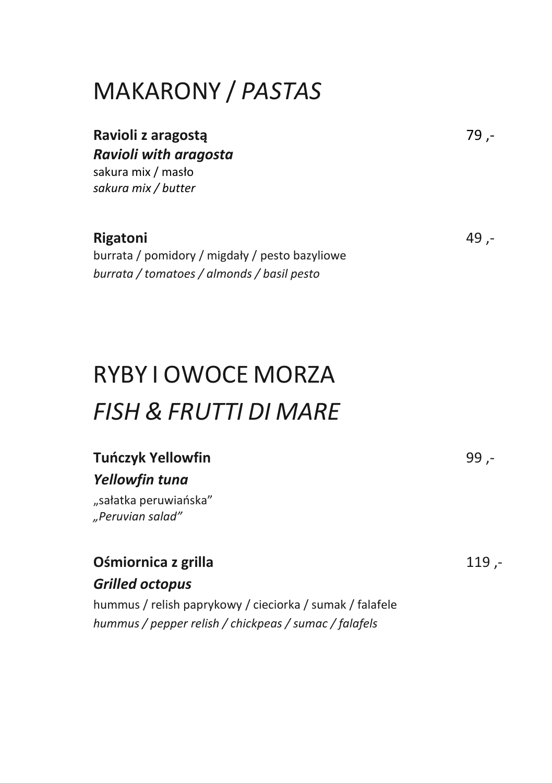### MAKARONY / *PASTAS*

| Ravioli z aragostą    | 79.- |
|-----------------------|------|
| Ravioli with aragosta |      |
| sakura mix / masło    |      |
| sakura mix / butter   |      |
|                       |      |

**Rigatoni** 49 , burrata / pomidory / migdały / pesto bazyliowe *burrata / tomatoes / almonds / basil pesto*

## RYBY I OWOCE MORZA *FISH & FRUTTI DI MARE*

### **Tuńczyk Yellowfin** 99 ,- *Yellowfin tuna*

"sałatka peruwiańska" *"Peruvian salad"*

### **Ośmiornica z grilla** 119,-*Grilled octopus* hummus / relish paprykowy / cieciorka / sumak / falafele *hummus / pepper relish / chickpeas / sumac / falafels*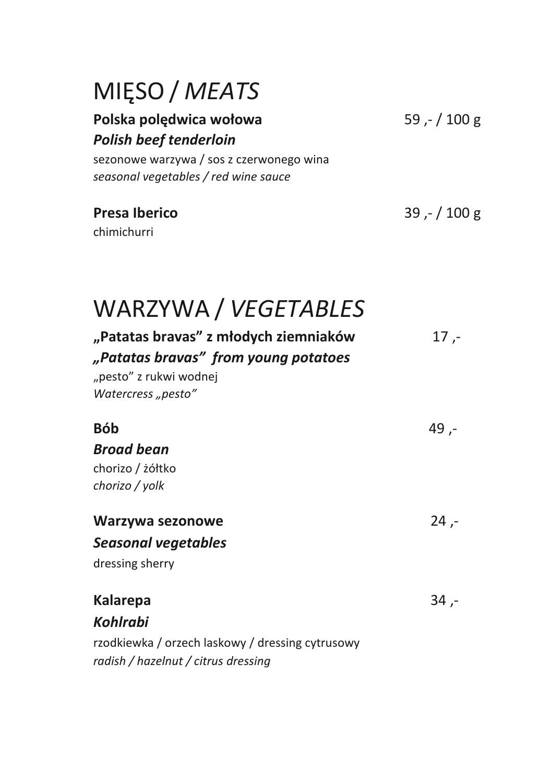| MIESO / MEATS                                                                                                                                         |                 |
|-------------------------------------------------------------------------------------------------------------------------------------------------------|-----------------|
| Polska polędwica wołowa<br><b>Polish beef tenderloin</b><br>sezonowe warzywa / sos z czerwonego wina<br>seasonal vegetables / red wine sauce          | 59, $- / 100$ g |
| <b>Presa Iberico</b><br>chimichurri                                                                                                                   | $39 - 100$ g    |
| WARZYWA / VEGETABLES<br>"Patatas bravas" z młodych ziemniaków<br>"Patatas bravas" from young potatoes<br>"pesto" z rukwi wodnej<br>Watercress "pesto" | $17 -$          |
| <b>Bób</b><br><b>Broad bean</b><br>chorizo / żółtko<br>chorizo / yolk                                                                                 | -, 49           |
| Warzywa sezonowe<br><b>Seasonal vegetables</b><br>dressing sherry                                                                                     | $24, -$         |
| <b>Kalarepa</b><br><b>Kohlrabi</b><br>rzodkiewka / orzech laskowy / dressing cytrusowy<br>radish / hazelnut / citrus dressing                         | $34 -$          |